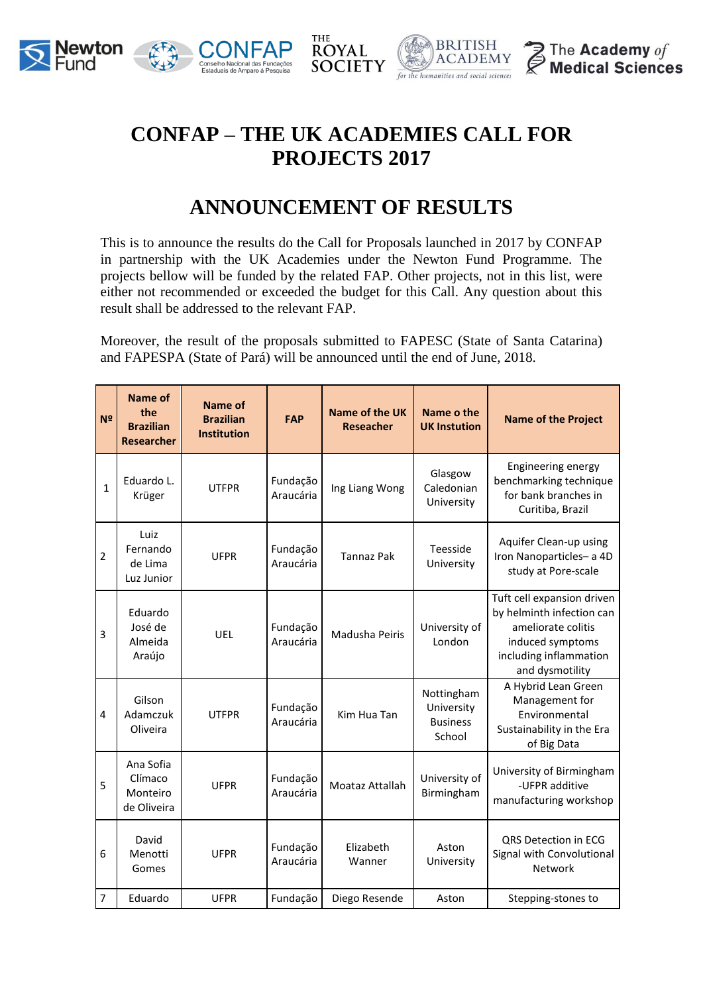





## **CONFAP – THE UK ACADEMIES CALL FOR PROJECTS 2017**

THE

## **ANNOUNCEMENT OF RESULTS**

This is to announce the results do the Call for Proposals launched in 2017 by CONFAP in partnership with the UK Academies under the Newton Fund Programme. The projects bellow will be funded by the related FAP. Other projects, not in this list, were either not recommended or exceeded the budget for this Call. Any question about this result shall be addressed to the relevant FAP.

Moreover, the result of the proposals submitted to FAPESC (State of Santa Catarina) and FAPESPA (State of Pará) will be announced until the end of June, 2018.

| N <sup>2</sup> | Name of<br>the<br><b>Brazilian</b><br><b>Researcher</b> | <b>Name of</b><br><b>Brazilian</b><br><b>Institution</b> | <b>FAP</b>            | <b>Name of the UK</b><br><b>Reseacher</b> | Name o the<br><b>UK Instution</b>                     | <b>Name of the Project</b>                                                                                                                     |
|----------------|---------------------------------------------------------|----------------------------------------------------------|-----------------------|-------------------------------------------|-------------------------------------------------------|------------------------------------------------------------------------------------------------------------------------------------------------|
| $\mathbf{1}$   | Eduardo L.<br>Krüger                                    | <b>UTFPR</b>                                             | Fundação<br>Araucária | Ing Liang Wong                            | Glasgow<br>Caledonian<br>University                   | Engineering energy<br>benchmarking technique<br>for bank branches in<br>Curitiba, Brazil                                                       |
| 2              | Luiz<br>Fernando<br>de Lima<br>Luz Junior               | <b>UFPR</b>                                              | Fundação<br>Araucária | <b>Tannaz Pak</b>                         | Teesside<br>University                                | Aquifer Clean-up using<br>Iron Nanoparticles- a 4D<br>study at Pore-scale                                                                      |
| 3              | Eduardo<br>José de<br>Almeida<br>Araújo                 | UEL                                                      | Fundação<br>Araucária | Madusha Peiris                            | University of<br>London                               | Tuft cell expansion driven<br>by helminth infection can<br>ameliorate colitis<br>induced symptoms<br>including inflammation<br>and dysmotility |
| $\overline{4}$ | Gilson<br>Adamczuk<br>Oliveira                          | <b>UTFPR</b>                                             | Fundação<br>Araucária | Kim Hua Tan                               | Nottingham<br>University<br><b>Business</b><br>School | A Hybrid Lean Green<br>Management for<br>Environmental<br>Sustainability in the Era<br>of Big Data                                             |
| 5              | Ana Sofia<br>Clímaco<br>Monteiro<br>de Oliveira         | <b>UFPR</b>                                              | Fundação<br>Araucária | Moataz Attallah                           | University of<br>Birmingham                           | University of Birmingham<br>-UFPR additive<br>manufacturing workshop                                                                           |
| 6              | David<br>Menotti<br>Gomes                               | <b>UFPR</b>                                              | Fundação<br>Araucária | Elizabeth<br>Wanner                       | Aston<br>University                                   | QRS Detection in ECG<br>Signal with Convolutional<br><b>Network</b>                                                                            |
| 7              | Eduardo                                                 | <b>UFPR</b>                                              | Fundação              | Diego Resende                             | Aston                                                 | Stepping-stones to                                                                                                                             |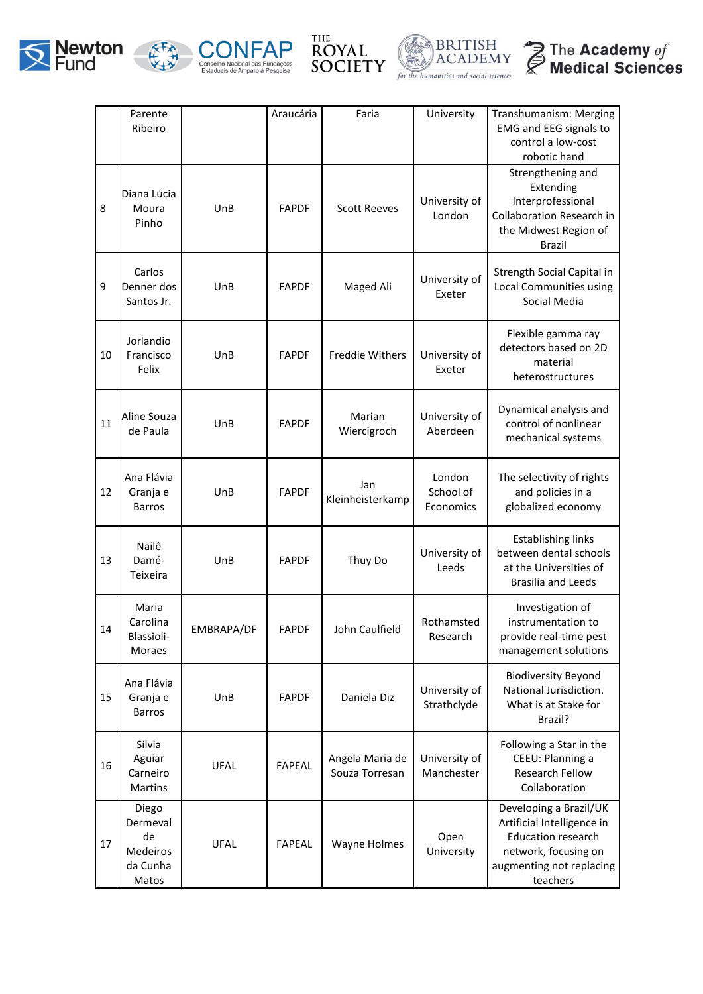









|    | Parente<br>Ribeiro                                              |             | Araucária     | Faria                             | University                       | Transhumanism: Merging<br><b>EMG and EEG signals to</b><br>control a low-cost<br>robotic hand                                                     |
|----|-----------------------------------------------------------------|-------------|---------------|-----------------------------------|----------------------------------|---------------------------------------------------------------------------------------------------------------------------------------------------|
| 8  | Diana Lúcia<br>Moura<br>Pinho                                   | UnB         | <b>FAPDF</b>  | <b>Scott Reeves</b>               | University of<br>London          | Strengthening and<br>Extending<br>Interprofessional<br><b>Collaboration Research in</b><br>the Midwest Region of<br><b>Brazil</b>                 |
| 9  | Carlos<br>Denner dos<br>Santos Jr.                              | UnB         | <b>FAPDF</b>  | Maged Ali                         | University of<br>Exeter          | Strength Social Capital in<br>Local Communities using<br>Social Media                                                                             |
| 10 | Jorlandio<br>Francisco<br>Felix                                 | UnB         | <b>FAPDF</b>  | Freddie Withers                   | University of<br>Exeter          | Flexible gamma ray<br>detectors based on 2D<br>material<br>heterostructures                                                                       |
| 11 | Aline Souza<br>de Paula                                         | UnB         | <b>FAPDF</b>  | Marian<br>Wiercigroch             | University of<br>Aberdeen        | Dynamical analysis and<br>control of nonlinear<br>mechanical systems                                                                              |
| 12 | Ana Flávia<br>Granja e<br><b>Barros</b>                         | UnB         | <b>FAPDF</b>  | Jan<br>Kleinheisterkamp           | London<br>School of<br>Economics | The selectivity of rights<br>and policies in a<br>globalized economy                                                                              |
| 13 | Nailê<br>Damé-<br>Teixeira                                      | UnB         | <b>FAPDF</b>  | Thuy Do                           | University of<br>Leeds           | <b>Establishing links</b><br>between dental schools<br>at the Universities of<br><b>Brasilia and Leeds</b>                                        |
| 14 | Maria<br>Carolina<br>Blassioli-<br><b>Moraes</b>                | EMBRAPA/DF  | <b>FAPDF</b>  | John Caulfield                    | Rothamsted<br>Research           | Investigation of<br>instrumentation to<br>provide real-time pest<br>management solutions                                                          |
| 15 | Ana Flávia<br>Granja e<br><b>Barros</b>                         | UnB         | <b>FAPDF</b>  | Daniela Diz                       | University of<br>Strathclyde     | <b>Biodiversity Beyond</b><br>National Jurisdiction.<br>What is at Stake for<br>Brazil?                                                           |
| 16 | Sílvia<br>Aguiar<br>Carneiro<br>Martins                         | <b>UFAL</b> | <b>FAPEAL</b> | Angela Maria de<br>Souza Torresan | University of<br>Manchester      | Following a Star in the<br>CEEU: Planning a<br><b>Research Fellow</b><br>Collaboration                                                            |
| 17 | Diego<br>Dermeval<br>de<br><b>Medeiros</b><br>da Cunha<br>Matos | <b>UFAL</b> | <b>FAPEAL</b> | Wayne Holmes                      | Open<br>University               | Developing a Brazil/UK<br>Artificial Intelligence in<br><b>Education research</b><br>network, focusing on<br>augmenting not replacing<br>teachers |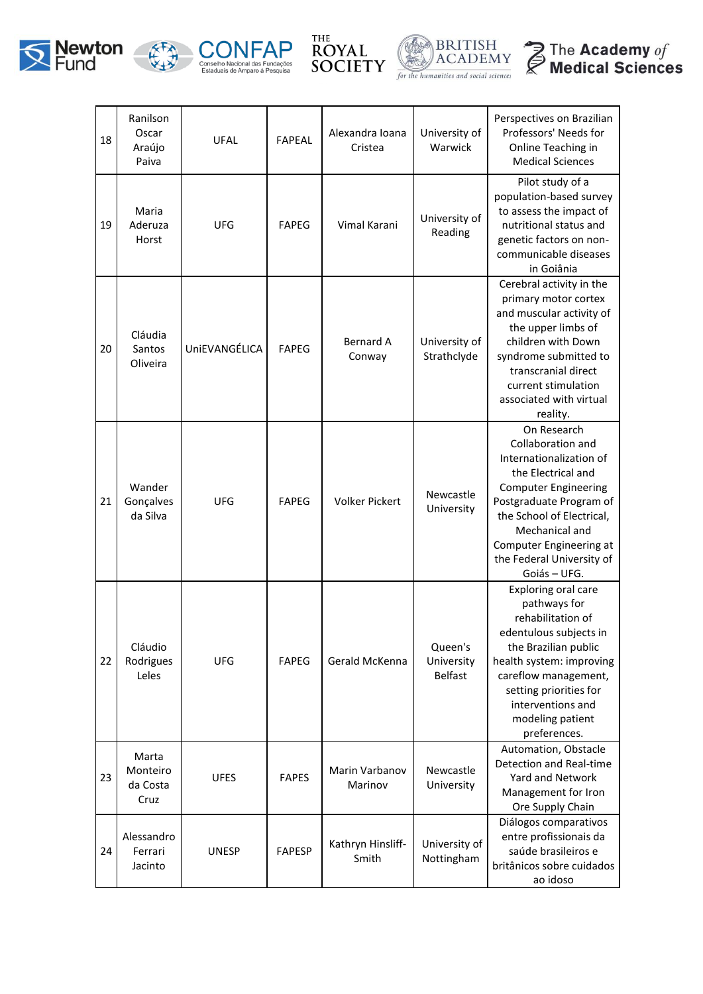









| 18 | Ranilson<br>Oscar<br>Araújo<br>Paiva  | <b>UFAL</b>   | <b>FAPEAL</b> | Alexandra Ioana<br>Cristea | University of<br>Warwick                | Perspectives on Brazilian<br>Professors' Needs for<br>Online Teaching in<br><b>Medical Sciences</b>                                                                                                                                                                |
|----|---------------------------------------|---------------|---------------|----------------------------|-----------------------------------------|--------------------------------------------------------------------------------------------------------------------------------------------------------------------------------------------------------------------------------------------------------------------|
| 19 | Maria<br>Aderuza<br>Horst             | <b>UFG</b>    | <b>FAPEG</b>  | Vimal Karani               | University of<br>Reading                | Pilot study of a<br>population-based survey<br>to assess the impact of<br>nutritional status and<br>genetic factors on non-<br>communicable diseases<br>in Goiânia                                                                                                 |
| 20 | Cláudia<br>Santos<br>Oliveira         | UniEVANGÉLICA | <b>FAPEG</b>  | <b>Bernard A</b><br>Conway | University of<br>Strathclyde            | Cerebral activity in the<br>primary motor cortex<br>and muscular activity of<br>the upper limbs of<br>children with Down<br>syndrome submitted to<br>transcranial direct<br>current stimulation<br>associated with virtual<br>reality.                             |
| 21 | Wander<br>Gonçalves<br>da Silva       | <b>UFG</b>    | <b>FAPEG</b>  | <b>Volker Pickert</b>      | Newcastle<br>University                 | On Research<br>Collaboration and<br>Internationalization of<br>the Electrical and<br><b>Computer Engineering</b><br>Postgraduate Program of<br>the School of Electrical,<br>Mechanical and<br>Computer Engineering at<br>the Federal University of<br>Goiás - UFG. |
| 22 | Cláudio<br>Rodrigues<br>Leles         | <b>UFG</b>    | <b>FAPEG</b>  | Gerald McKenna             | Queen's<br>University<br><b>Belfast</b> | Exploring oral care<br>pathways for<br>rehabilitation of<br>edentulous subjects in<br>the Brazilian public<br>health system: improving<br>careflow management,<br>setting priorities for<br>interventions and<br>modeling patient<br>preferences.                  |
| 23 | Marta<br>Monteiro<br>da Costa<br>Cruz | <b>UFES</b>   | <b>FAPES</b>  | Marin Varbanov<br>Marinov  | Newcastle<br>University                 | Automation, Obstacle<br>Detection and Real-time<br>Yard and Network<br>Management for Iron<br>Ore Supply Chain                                                                                                                                                     |
| 24 | Alessandro<br>Ferrari<br>Jacinto      | <b>UNESP</b>  | <b>FAPESP</b> | Kathryn Hinsliff-<br>Smith | University of<br>Nottingham             | Diálogos comparativos<br>entre profissionais da<br>saúde brasileiros e<br>britânicos sobre cuidados<br>ao idoso                                                                                                                                                    |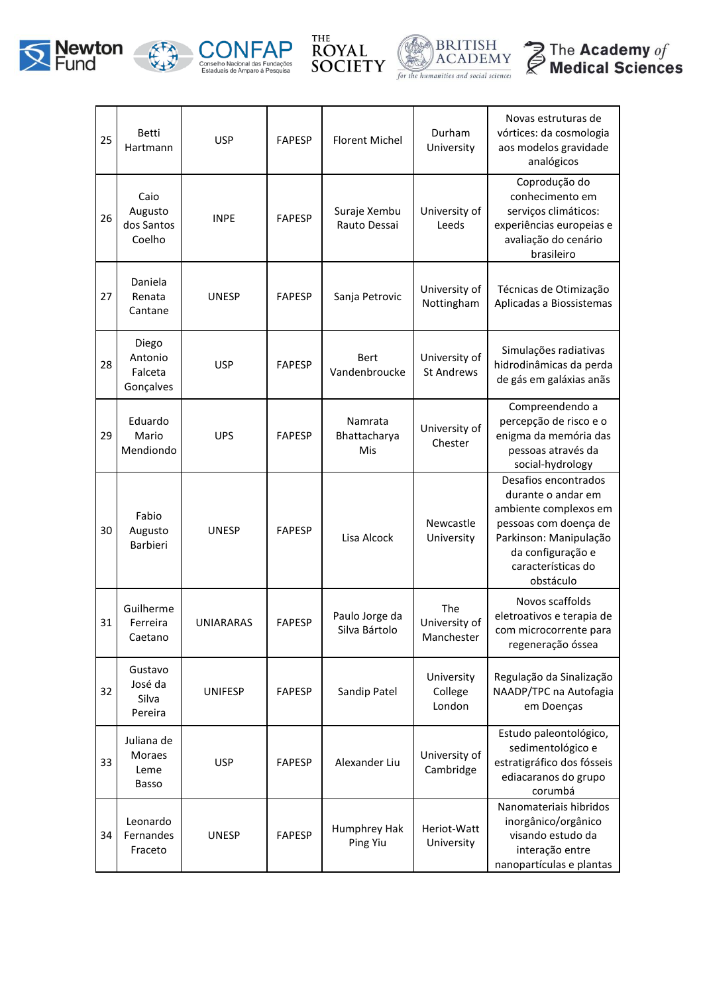









| 25 | <b>Betti</b><br>Hartmann                     | <b>USP</b>       | <b>FAPESP</b> | Florent Michel                  | Durham<br>University               | Novas estruturas de<br>vórtices: da cosmologia<br>aos modelos gravidade<br>analógicos                                                                                          |
|----|----------------------------------------------|------------------|---------------|---------------------------------|------------------------------------|--------------------------------------------------------------------------------------------------------------------------------------------------------------------------------|
| 26 | Caio<br>Augusto<br>dos Santos<br>Coelho      | <b>INPE</b>      | <b>FAPESP</b> | Suraje Xembu<br>Rauto Dessai    | University of<br>Leeds             | Coprodução do<br>conhecimento em<br>serviços climáticos:<br>experiências europeias e<br>avaliação do cenário<br>brasileiro                                                     |
| 27 | Daniela<br>Renata<br>Cantane                 | <b>UNESP</b>     | <b>FAPESP</b> | Sanja Petrovic                  | University of<br>Nottingham        | Técnicas de Otimização<br>Aplicadas a Biossistemas                                                                                                                             |
| 28 | Diego<br>Antonio<br>Falceta<br>Gonçalves     | <b>USP</b>       | <b>FAPESP</b> | Bert<br>Vandenbroucke           | University of<br><b>St Andrews</b> | Simulações radiativas<br>hidrodinâmicas da perda<br>de gás em galáxias anãs                                                                                                    |
| 29 | Eduardo<br>Mario<br>Mendiondo                | <b>UPS</b>       | <b>FAPESP</b> | Namrata<br>Bhattacharya<br>Mis  | University of<br>Chester           | Compreendendo a<br>percepção de risco e o<br>enigma da memória das<br>pessoas através da<br>social-hydrology                                                                   |
| 30 | Fabio<br>Augusto<br>Barbieri                 | <b>UNESP</b>     | <b>FAPESP</b> | Lisa Alcock                     | Newcastle<br>University            | Desafios encontrados<br>durante o andar em<br>ambiente complexos em<br>pessoas com doença de<br>Parkinson: Manipulação<br>da configuração e<br>características do<br>obstáculo |
| 31 | Guilherme<br>Ferreira<br>Caetano             | <b>UNIARARAS</b> | <b>FAPESP</b> | Paulo Jorge da<br>Silva Bártolo | The<br>University of<br>Manchester | Novos scaffolds<br>eletroativos e terapia de<br>com microcorrente para<br>regeneração óssea                                                                                    |
| 32 | Gustavo<br>José da<br>Silva<br>Pereira       | <b>UNIFESP</b>   | <b>FAPESP</b> | Sandip Patel                    | University<br>College<br>London    | Regulação da Sinalização<br>NAADP/TPC na Autofagia<br>em Doenças                                                                                                               |
| 33 | Juliana de<br><b>Moraes</b><br>Leme<br>Basso | <b>USP</b>       | <b>FAPESP</b> | Alexander Liu                   | University of<br>Cambridge         | Estudo paleontológico,<br>sedimentológico e<br>estratigráfico dos fósseis<br>ediacaranos do grupo<br>corumbá                                                                   |
| 34 | Leonardo<br>Fernandes<br>Fraceto             | <b>UNESP</b>     | <b>FAPESP</b> | Humphrey Hak<br>Ping Yiu        | Heriot-Watt<br>University          | Nanomateriais hibridos<br>inorgânico/orgânico<br>visando estudo da<br>interação entre<br>nanopartículas e plantas                                                              |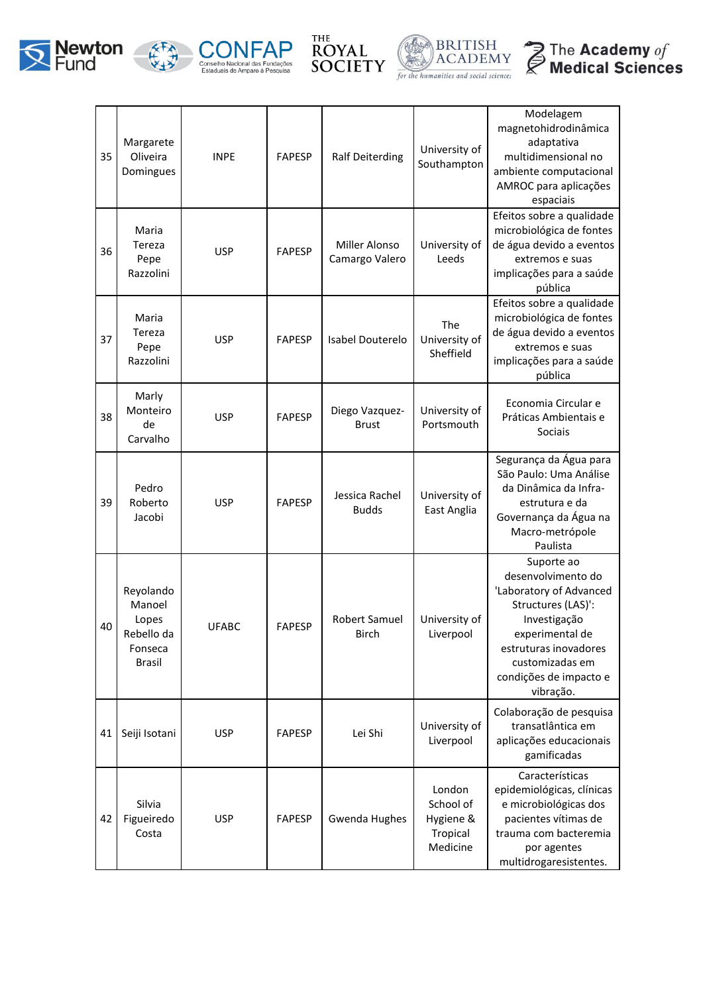









| 35 | Margarete<br>Oliveira<br>Domingues                                     | <b>INPE</b>  | <b>FAPESP</b> | <b>Ralf Deiterding</b>          | University of<br>Southampton                             | Modelagem<br>magnetohidrodinâmica<br>adaptativa<br>multidimensional no<br>ambiente computacional<br>AMROC para aplicações<br>espaciais                                                                  |
|----|------------------------------------------------------------------------|--------------|---------------|---------------------------------|----------------------------------------------------------|---------------------------------------------------------------------------------------------------------------------------------------------------------------------------------------------------------|
| 36 | Maria<br>Tereza<br>Pepe<br>Razzolini                                   | <b>USP</b>   | <b>FAPESP</b> | Miller Alonso<br>Camargo Valero | University of<br>Leeds                                   | Efeitos sobre a qualidade<br>microbiológica de fontes<br>de água devido a eventos<br>extremos e suas<br>implicações para a saúde<br>pública                                                             |
| 37 | Maria<br>Tereza<br>Pepe<br>Razzolini                                   | <b>USP</b>   | <b>FAPESP</b> | Isabel Douterelo                | The<br>University of<br>Sheffield                        | Efeitos sobre a qualidade<br>microbiológica de fontes<br>de água devido a eventos<br>extremos e suas<br>implicações para a saúde<br>pública                                                             |
| 38 | Marly<br>Monteiro<br>de<br>Carvalho                                    | <b>USP</b>   | <b>FAPESP</b> | Diego Vazquez-<br><b>Brust</b>  | University of<br>Portsmouth                              | Economia Circular e<br>Práticas Ambientais e<br>Sociais                                                                                                                                                 |
| 39 | Pedro<br>Roberto<br>Jacobi                                             | <b>USP</b>   | <b>FAPESP</b> | Jessica Rachel<br><b>Budds</b>  | University of<br>East Anglia                             | Segurança da Água para<br>São Paulo: Uma Análise<br>da Dinâmica da Infra-<br>estrutura e da<br>Governança da Água na<br>Macro-metrópole<br>Paulista                                                     |
| 40 | Reyolando<br>Manoel<br>Lopes<br>Rebello da<br>Fonseca<br><b>Brasil</b> | <b>UFABC</b> | <b>FAPESP</b> | Robert Samuel<br><b>Birch</b>   | University of<br>Liverpool                               | Suporte ao<br>desenvolvimento do<br>'Laboratory of Advanced<br>Structures (LAS)':<br>Investigação<br>experimental de<br>estruturas inovadores<br>customizadas em<br>condições de impacto e<br>vibração. |
| 41 | Seiji Isotani                                                          | <b>USP</b>   | <b>FAPESP</b> | Lei Shi                         | University of<br>Liverpool                               | Colaboração de pesquisa<br>transatlântica em<br>aplicações educacionais<br>gamificadas                                                                                                                  |
| 42 | Silvia<br>Figueiredo<br>Costa                                          | <b>USP</b>   | <b>FAPESP</b> | Gwenda Hughes                   | London<br>School of<br>Hygiene &<br>Tropical<br>Medicine | Características<br>epidemiológicas, clínicas<br>e microbiológicas dos<br>pacientes vítimas de<br>trauma com bacteremia<br>por agentes<br>multidrogaresistentes.                                         |